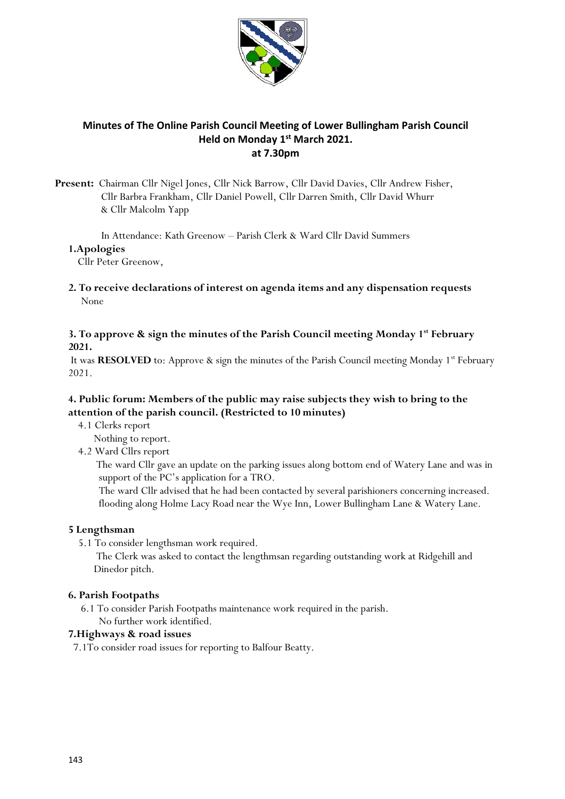

# **Minutes of The Online Parish Council Meeting of Lower Bullingham Parish Council Held on Monday 1 st March 2021. at 7.30pm**

**Present:** Chairman Cllr Nigel Jones, Cllr Nick Barrow, Cllr David Davies, Cllr Andrew Fisher, Cllr Barbra Frankham, Cllr Daniel Powell, Cllr Darren Smith, Cllr David Whurr & Cllr Malcolm Yapp

In Attendance: Kath Greenow – Parish Clerk & Ward Cllr David Summers

### **1.Apologies**

Cllr Peter Greenow,

**2. To receive declarations of interest on agenda items and any dispensation requests** None

# **3. To approve & sign the minutes of the Parish Council meeting Monday 1st February 2021.**

It was **RESOLVED** to: Approve & sign the minutes of the Parish Council meeting Monday 1<sup>st</sup> February 2021.

# **4. Public forum: Members of the public may raise subjects they wish to bring to the attention of the parish council. (Restricted to 10 minutes)**

- 4.1 Clerks report
	- Nothing to report.

#### 4.2 Ward Cllrs report

 The ward Cllr gave an update on the parking issues along bottom end of Watery Lane and was in support of the PC's application for a TRO.

 The ward Cllr advised that he had been contacted by several parishioners concerning increased. flooding along Holme Lacy Road near the Wye Inn, Lower Bullingham Lane & Watery Lane.

# **5 Lengthsman**

5.1 To consider lengthsman work required.

 The Clerk was asked to contact the lengthmsan regarding outstanding work at Ridgehill and Dinedor pitch.

#### **6. Parish Footpaths**

 6.1 To consider Parish Footpaths maintenance work required in the parish. No further work identified.

#### **7.Highways & road issues**

7.1To consider road issues for reporting to Balfour Beatty.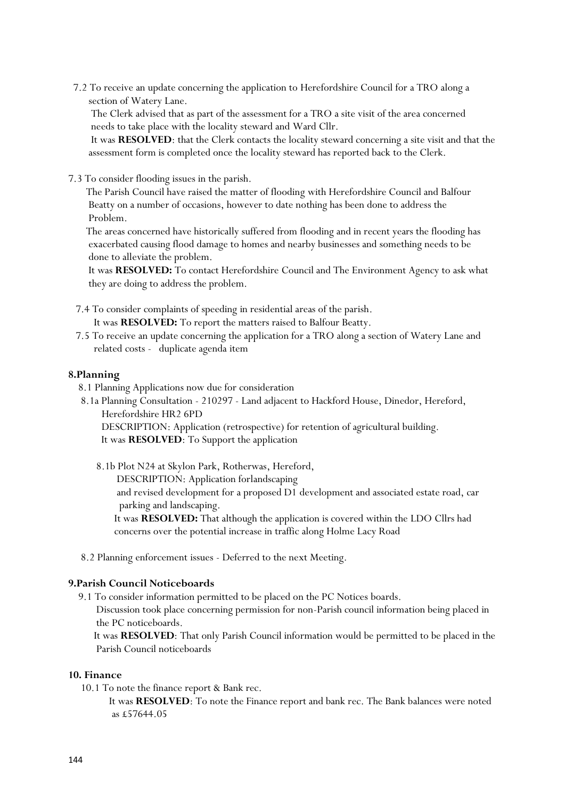7.2 To receive an update concerning the application to Herefordshire Council for a TRO along a section of Watery Lane.

 The Clerk advised that as part of the assessment for a TRO a site visit of the area concerned needs to take place with the locality steward and Ward Cllr.

 It was **RESOLVED**: that the Clerk contacts the locality steward concerning a site visit and that the assessment form is completed once the locality steward has reported back to the Clerk.

7.3 To consider flooding issues in the parish.

 The Parish Council have raised the matter of flooding with Herefordshire Council and Balfour Beatty on a number of occasions, however to date nothing has been done to address the Problem.

 The areas concerned have historically suffered from flooding and in recent years the flooding has exacerbated causing flood damage to homes and nearby businesses and something needs to be done to alleviate the problem.

 It was **RESOLVED:** To contact Herefordshire Council and The Environment Agency to ask what they are doing to address the problem.

7.4 To consider complaints of speeding in residential areas of the parish.

It was **RESOLVED:** To report the matters raised to Balfour Beatty.

 7.5 To receive an update concerning the application for a TRO along a section of Watery Lane and related costs - duplicate agenda item

# **8.Planning**

- 8.1 Planning Applications now due for consideration
- 8.1a Planning Consultation 210297 Land adjacent to Hackford House, Dinedor, Hereford, Herefordshire HR2 6PD

 DESCRIPTION: Application (retrospective) for retention of agricultural building. It was **RESOLVED**: To Support the application

8.1b Plot N24 at Skylon Park, Rotherwas, Hereford,

DESCRIPTION: Application forlandscaping

 and revised development for a proposed D1 development and associated estate road, car parking and landscaping.

 It was **RESOLVED:** That although the application is covered within the LDO Cllrs had concerns over the potential increase in traffic along Holme Lacy Road

8.2 Planning enforcement issues - Deferred to the next Meeting.

# **9.Parish Council Noticeboards**

9.1 To consider information permitted to be placed on the PC Notices boards.

 Discussion took place concerning permission for non-Parish council information being placed in the PC noticeboards.

 It was **RESOLVED**: That only Parish Council information would be permitted to be placed in the Parish Council noticeboards

#### **10. Finance**

10.1 To note the finance report & Bank rec.

 It was **RESOLVED**: To note the Finance report and bank rec. The Bank balances were noted as £57644.05